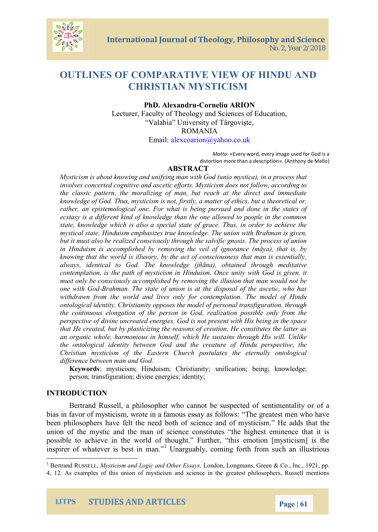# OUTLINES OF COMPERVAIEW OF HINDOU AN CHRISTIAN MYSTICISM

## PhD. AlexaCnodrmueliu ARION Lecturer, Faculty of Theology and Sciences of Education Valahia University of Târgovi\_te, ROMANIA

Emaalex carion@yahoo.co.uk

Motto «Every word, every image used for distortion more than aAndtehscorryiptdie).nM»ell(o

ABSTRACT

Mysticism is about  $\kappa$  inforwing gman md wuth God (unio mystica), in a process that involves concerted cognitive and ascetic efforts. Mysticism doe the classic pattern, the moralizing of man, but reach at the knowledge of Godcistmuiss, moyts tfirstly, a matter of ethics, but a t rather, an epistemological one. For what is being pursued and ecstasy is a different kind of knowledge than the one allowed state, knowledge a which special state of grace. Thus, in order mystical state, Hinduism emphasizes true knowledge. The unior but it must also be realized consciously through the salvific gn in Hinduism cosmplished by removing the veil of ignorance  $(m, y)$ knowing that the world is illusory, by the act of consciousness always, identical to God. The a), knowh when de thinough meditative contemplation, the of hen ypsticism in Hinduism. Once unity with Go must only be consciously accomplished by removing the illusion one with BGaddman. The state of union is at the disposal of the withdrawn from tahned wiovreled only for contemplation. The model ontological identity, Christianity opposes the model of personal the continuous elongation of the person in God, realization p perspective of dievdneen engtires at God is not present with His being that He created, but by plasticizing the reasons of creation,  $H_0$ an organic whole, harmonious in himself, which He sustains th the ontologictayl between God and the creature of Hindu pers Christian mysticism of the Eastern Church postulates the  $\varepsilon$ difference between man and God.

Keywordsnsyticism; Hinduism; Chrinfitistratian; unifologium que dge; persomansfitgiona divine energies; identity;

#### INTRODUCTION

Bertrand Russell, a philosopher who cannot be suspected bias in favor of mysticism, wrote in a famous essay as follow been philosophelts the veeed both of science and of mysticism union of the mystic and the man of science constitutes th possible to achieve in the world of thought. Further, this inspirer aotfewehr is best **Uin** a magaura bly, coming forth from such a

IJTPS STUDIES AND ARTICLES Page 1

 $1$  Bertra $R$ usdsE,LM ysticism and Logic an $d$ o Ordber, Essegymsa,ns, Green & Co., Inc., 4, 12. As examples of this union of mysticism and science in the greaters.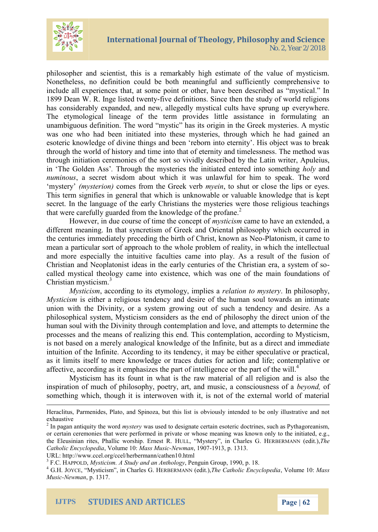### International Journal of Theology, Phi No. 2, Year 2/2018

philosopher and scientist, this is a remarkably high estima Nonetheless, no definition could be both meaningful and s inclue all experiences that, at some point or other, have been 1899 Dean W. R. Ing  $4$  ivies to bed fit wite only s. Since then the study of has considerably expanded, and new, allegeddy emyywshiecrael cul The etymological lineage of the term provides little ass unambiguous definition. The word mystic has its origin in was one who had been initiated into these omy gesterreieds anthrough esoteric knowledge of divine things and been reborn into et through the world of history and time into that of eternity an through initiation ceremonies of ibleed sboyrtthseo Lyavtindly redescrap in The GoldenThArsosugh the mysteries the initiate bloeganteered int numinous secret wisdom about which it was unlawful for h  $m$  y ste (my y stergion) estrom the Gargea jet konsehrubt or close the lips or This term signifies in general that which is unknowable or v secret. In the language of the early Christians the mysterie that were carefully the aknowledge of  $2$  the profane.

However, in due course of minimisteid on a mean of an extended  $\epsilon$ different meaning. In that syncretism of Greek and Oriental the centuries immediately plr@e beidsith gkhho ew Fholianats bin Noison, it came to mean a particular sort of approach to the whole problem of and more especially the intuitive faculties came into play. Christian and Nedoepalsationnitshte iearly centuries of the Ghristian called mystical theology came into existence, which was or Christian  $m\dot{\gamma}$ sticism.

My sticism cording to its etym roelloagty on intop limelyes tachrikhov, sop Mysticism either a religious tendency and desire of the huma union with the Divinity, or a system growing out of such a philosophical system, Mysticism considers asumhene ont tome phi human soul with the Divinity through contemplation and love processes and the means of realizing this end. This contemported is not based on a merely analogical kbout walsed aged intertion and the immediated and  $\frac{1}{2}$ intuition of the Infinite. According to its tendency, it may be as it limits itself to mere knowledge or traces duties for ad affective, accordinio cass tilte emport as finitelligence<sup>4</sup> or the part of

Mysticism has its fount in what is the raw material of inspiration of much of philosophy, poetry, artbeaynododinusic, a something which, ishionut ophiwioven with it, is not of the external

Heraclitus, Parmenides, Plato, airsd ostpriino out and but the hidiesd litst be only illustrative and not a exhaustive

 $^2$ In pagan antiquimhyy **sheorawsouse**d to designate certain esoteric doctrines, s or certain ceremonies that were performed in privantly to twheosine that and inge. the Eleusinian rites, Phallic Huntours MilingsteErney esith RCHE and EAR MAN edithe Catholic EncycVooplesonideal alsos M-Nuseiwam, an9-09913, p. 1313.

URL: http://www.ccel.org/ccel@hhetrhbermann/cathen1

 $3F$ . CHAPPOLDMysticiAsnSstudy aAnnothean1,oByenguin Group, 1990, p. 18.

 $4G$ . HU YCE, Mysticism, in HGE RESE FREMSA. (GENdiT.h) e Catholic Ency Colloup meebolidations  $M$ us-N $ce$  w m, ap. 1317.

IJTPS STUDIES AND SATICLE Page 2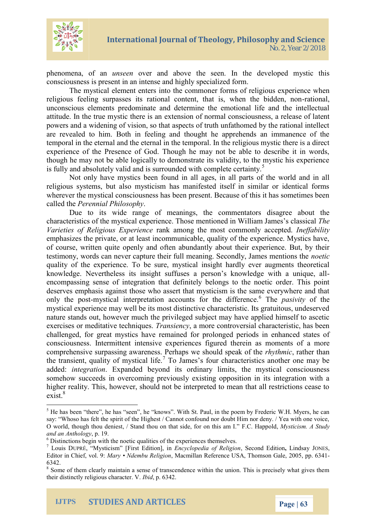

phenomena, of an *unseen* over and above the seen. In the developed mystic this consciousness is present in an intense and highly specialized form.

The mystical element enters into the commoner forms of religious experience when religious feeling surpasses its rational content, that is, when the bidden, non-rational, unconscious elements predominate and determine the emotional life and the intellectual attitude. In the true mystic there is an extension of normal consciousness, a release of latent powers and a widening of vision, so that aspects of truth unfathomed by the rational intellect are revealed to him. Both in feeling and thought he apprehends an immanence of the temporal in the eternal and the eternal in the temporal. In the religious mystic there is a direct experience of the Presence of God. Though he may not be able to describe it in words, though he may not be able logically to demonstrate its validity, to the mystic his experience is fully and absolutely valid and is surrounded with complete certainty.<sup>5</sup>

Not only have mystics been found in all ages, in all parts of the world and in all religious systems, but also mysticism has manifested itself in similar or identical forms wherever the mystical consciousness has been present. Because of this it has sometimes been called the *Perennial Philosophy*.

Due to its wide range of meanings, the commentators disagree about the characteristics of the mystical experience. Those mentioned in William James's classical *The Varieties of Religious Experience* rank among the most commonly accepted. *Ineffability* emphasizes the private, or at least incommunicable, quality of the experience. Mystics have, of course, written quite openly and often abundantly about their experience. But, by their testimony, words can never capture their full meaning. Secondly, James mentions the *noetic* quality of the experience. To be sure, mystical insight hardly ever augments theoretical knowledge. Nevertheless its insight suffuses a person's knowledge with a unique, allencompassing sense of integration that definitely belongs to the noetic order. This point deserves emphasis against those who assert that mysticism is the same everywhere and that only the post-mystical interpretation accounts for the difference.<sup>6</sup> The *pasivity* of the mystical experience may well be its most distinctive characteristic. Its gratuitous, undeserved nature stands out, however much the privileged subject may have applied himself to ascetic exercises or meditative techniques. *Transiency*, a more controversial characteristic, has been challenged, for great mystics have remained for prolonged periods in enhanced states of consciousness. Intermittent intensive experiences figured therein as moments of a more comprehensive surpassing awareness. Perhaps we should speak of the *rhythmic*, rather than the transient, quality of mystical life.<sup>7</sup> To James's four characteristics another one may be added: *integration*. Expanded beyond its ordinary limits, the mystical consciousness somehow succeeds in overcoming previously existing opposition in its integration with a higher reality. This, however, should not be interpreted to mean that all restrictions cease to  $exist.<sup>8</sup>$ 

<sup>&</sup>lt;sup>5</sup> He has been "there", he has "seen", he "knows". With St. Paul, in the poem by Frederic W.H. Myers, he can say: "Whoso has felt the spirit of the Highest / Cannot confound nor doubt Him nor deny. / Yea with one voice, O world, though thou deniest, / Stand thou on that side, for on this am I." F.C. Happold, *Mysticism. A Study and an Anthology*, p. 19.

 $6$  Distinctions begin with the noetic qualities of the experiences themselves.

<sup>7</sup> Louis DUPRÉ, "Mysticism" [First Edition], in *Encyclopedia of Religion*, Second Edition**,** Lindsay JONES, Editor in Chief, vol. 9: *Mary • Ndembu Religion*, Macmillan Reference USA, Thomson Gale, 2005, pp. 6341- 6342.

<sup>8</sup> Some of them clearly maintain a sense of transcendence within the union. This is precisely what gives them their distinctly religious character. V. *Ibid*, p. 6342.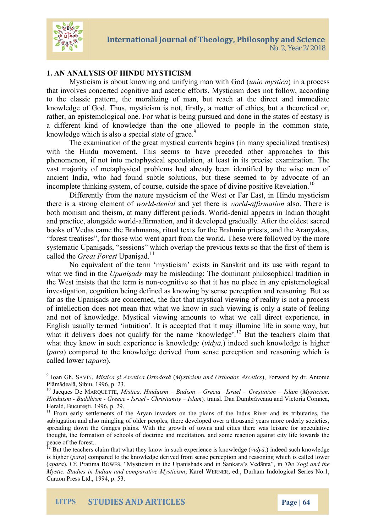

### **1. AN ANALYSIS OF HINDU MYSTICISM**

Mysticism is about knowing and unifying man with God (*unio mystica*) in a process that involves concerted cognitive and ascetic efforts. Mysticism does not follow, according to the classic pattern, the moralizing of man, but reach at the direct and immediate knowledge of God. Thus, mysticism is not, firstly, a matter of ethics, but a theoretical or, rather, an epistemological one. For what is being pursued and done in the states of ecstasy is a different kind of knowledge than the one allowed to people in the common state, knowledge which is also a special state of grace.<sup>9</sup>

The examination of the great mystical currents begins (in many specialized treatises) with the Hindu movement. This seems to have preceded other approaches to this phenomenon, if not into metaphysical speculation, at least in its precise examination. The vast majority of metaphysical problems had already been identified by the wise men of ancient India, who had found subtle solutions, but these seemed to by advocate of an incomplete thinking system, of course, outside the space of divine positive Revelation.<sup>10</sup>

Differently from the nature mysticism of the West or Far East, in Hindu mysticism there is a strong element of *world-denial* and yet there is *world-affirmation* also. There is both monism and theism, at many different periods. World-denial appears in Indian thought and practice, alongside world-affirmation, and it developed gradually. After the oldest sacred books of Vedas came the Brahmanas, ritual texts for the Brahmin priests, and the Araṇyakas, "forest treatises", for those who went apart from the world. These were followed by the more systematic Upaniṣads, "sessions" which overlap the previous texts so that the first of them is called the *Great Forest* Upanisad.<sup>11</sup>

No equivalent of the term 'mysticism' exists in Sanskrit and its use with regard to what we find in the *Upaniṣads* may be misleading: The dominant philosophical tradition in the West insists that the term is non-cognitive so that it has no place in any epistemological investigation, cognition being defined as knowing by sense perception and reasoning. But as far as the Upaniṣads are concerned, the fact that mystical viewing of reality is not a process of intellection does not mean that what we know in such viewing is only a state of feeling and not of knowledge. Mystical viewing amounts to what we call direct experience, in English usually termed 'intuition'. It is accepted that it may illumine life in some way, but what it delivers does not qualify for the name 'knowledge'.<sup>12</sup> But the teachers claim that what they know in such experience is knowledge (*vidyā,*) indeed such knowledge is higher (*para*) compared to the knowledge derived from sense perception and reasoning which is called lower (*apara*).



<sup>9</sup> Ioan Gh. SAVIN, *Mistica şi Ascetica Ortodoxă* (*Mysticism and Orthodox Ascetics*), Forward by dr. Antonie Plămădeală, Sibiu, 1996, p. 23.

<sup>10</sup> Jacques De MARQUETTE, *Mistica. Hinduism – Budism – Grecia –Israel – Creştinism – Islam* (*Mysticism. Hinduism - Buddhism - Greece - Israel - Christianity – Islam*)*,* transl. Dan Dumbrăveanu and Victoria Comnea, Herald, Bucureşti, 1996, p. 29.

<sup>&</sup>lt;sup>11</sup> From early settlements of the Aryan invaders on the plains of the Indus River and its tributaries, the subjugation and also mingling of older peoples, there developed over a thousand years more orderly societies, spreading down the Ganges plains. With the growth of towns and cities there was leisure for speculative thought, the formation of schools of doctrine and meditation, and some reaction against city life towards the peace of the forest..

<sup>12</sup> But the teachers claim that what they know in such experience is knowledge (*vidyā,*) indeed such knowledge is higher (*para*) compared to the knowledge derived from sense perception and reasoning which is called lower (*apara*). Cf. Pratima BOWES, "Mysticism in the Upanishads and in Śankara's Vedānta", in *The Yogi and the Mystic. Studies in Indian and comparative Mysticism*, Karel WERNER, ed., Durham Indological Series No.1, Curzon Press Ltd., 1994, p. 53.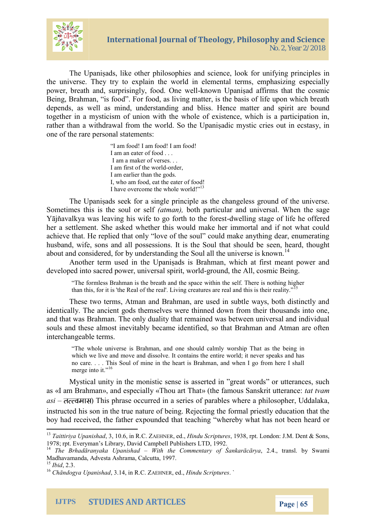

The Upaniṣads, like other philosophies and science, look for unifying principles in the universe. They try to explain the world in elemental terms, emphasizing especially power, breath and, surprisingly, food. One well-known Upaniṣad affirms that the cosmic Being, Brahman, "is food". For food, as living matter, is the basis of life upon which breath depends, as well as mind, understanding and bliss. Hence matter and spirit are bound together in a mysticism of union with the whole of existence, which is a participation in, rather than a withdrawal from the world. So the Upanisadic mystic cries out in ecstasy, in one of the rare personal statements:

> "I am food! I am food! I am food! I am an eater of food ... I am a maker of verses. . . I am first of the world-order, I am earlier than the gods. I, who am food, eat the eater of food! I have overcome the whole world!"<sup>13</sup>

The Upaniṣads seek for a single principle as the changeless ground of the universe. Sometimes this is the soul or self *(atman),* both particular and universal. When the sage Yājňavalkya was leaving his wife to go forth to the forest-dwelling stage of life he offered her a settlement. She asked whether this would make her immortal and if not what could achieve that. He replied that only "love of the soul" could make anything dear, enumerating husband, wife, sons and all possessions. It is the Soul that should be seen, heard, thought about and considered, for by understanding the Soul all the universe is known.<sup>14</sup>

Another term used in the Upaniṣads is Brahman, which at first meant power and developed into sacred power, universal spirit, world-ground, the All, cosmic Being.

"The formless Brahman is the breath and the space within the self. There is nothing higher than this, for it is 'the Real of the real'. Living creatures are real and this is their reality."<sup>1</sup>

These two terms, Atman and Brahman, are used in subtle ways, both distinctly and identically. The ancient gods themselves were thinned down from their thousands into one, and that was Brahman. The only duality that remained was between universal and individual souls and these almost inevitably became identified, so that Brahman and Atman are often interchangeable terms.

"The whole universe is Brahman, and one should calmly worship That as the being in which we live and move and dissolve. It contains the entire world; it never speaks and has no care. . . . This Soul of mine in the heart is Brahman, and when I go from here I shall merge into it."<sup>16</sup>

Mystical unity in the monistic sense is asserted in "great words" or utterances, such as «I am Brahman», and especially «Thou art That» (the famous Sanskrit utterance: *tat tvam*  $asi$  –  $\overline{d}$ ,  $\overline{d}$  as phrase occurred in a series of parables where a philosopher, Uddalaka, instructed his son in the true nature of being. Rejecting the formal priestly education that the boy had received, the father expounded that teaching "whereby what has not been heard or

<sup>13</sup> *Taittiriya Upanishad*, 3, 10.6, in R.C. ZAEHNER, ed., *Hindu Scriptures*, 1938, rpt. London: J.M. Dent & Sons, 1978; rpt. Everyman's Library, David Campbell Publishers LTD, 1992.

<sup>14</sup> *The Brhadāranyaka Upanishad – With the Commentary of Śankarācārya*, 2.4., transl. by Swami Madhavamanda, Advesta Ashrama, Calcutta, 1997.

<sup>15</sup> *Ibid*, 2.3.

<sup>16</sup> *Chāndogya Upanishad*, 3.14, in R.C. ZAEHNER, ed., *Hindu Scriptures*. `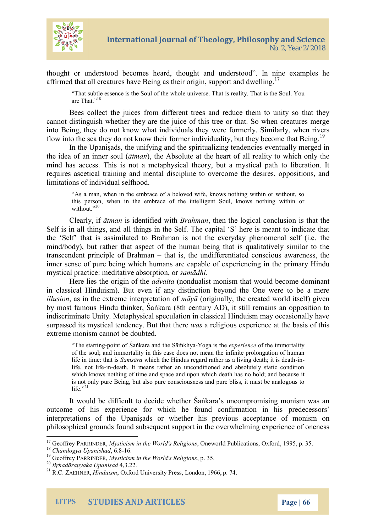

thought or understood becomes heard, thought and understood". In nine examples he affirmed that all creatures have Being as their origin, support and dwelling.<sup>17</sup>

"That subtle essence is the Soul of the whole universe. That is reality. That is the Soul. You are That<sup>"18</sup>

Bees collect the juices from different trees and reduce them to unity so that they cannot distinguish whether they are the juice of this tree or that. So when creatures merge into Being, they do not know what individuals they were formerly. Similarly, when rivers flow into the sea they do not know their former individuality, but they become that Being.<sup>19</sup>

In the Upaniṣads, the unifying and the spiritualizing tendencies eventually merged in the idea of an inner soul (*ātman*), the Absolute at the heart of all reality to which only the mind has access. This is not a metaphysical theory, but a mystical path to liberation. It requires ascetical training and mental discipline to overcome the desires, oppositions, and limitations of individual selfhood.

"As a man, when in the embrace of a beloved wife, knows nothing within or without, so this person, when in the embrace of the intelligent Soul, knows nothing within or without $^{3,20}$ 

Clearly, if *ātman* is identified with *Brahman*, then the logical conclusion is that the Self is in all things, and all things in the Self. The capital 'S' here is meant to indicate that the 'Self' that is assimilated to Brahman is not the everyday phenomenal self (i.e. the mind/body), but rather that aspect of the human being that is qualitatively similar to the transcendent principle of Brahman – that is, the undifferentiated conscious awareness, the inner sense of pure being which humans are capable of experiencing in the primary Hindu mystical practice: meditative absorption, or *samādhi*.

Here lies the origin of the *advaita* (nondualist monism that would become dominant in classical Hinduism). But even if any distinction beyond the One were to be a mere *illusion*, as in the extreme interpretation of *māyā* (originally, the created world itself) given by most famous Hindu thinker, Śaṅkara (8th century AD), it still remains an opposition to indiscriminate Unity. Metaphysical speculation in classical Hinduism may occasionally have surpassed its mystical tendency. But that there *was* a religious experience at the basis of this extreme monism cannot be doubted.

"The starting-point of Śaṅkara and the Sāṁkhya-Yoga is the *experience* of the immortality of the soul; and immortality in this case does not mean the infinite prolongation of human life in time: that is *Samsāra* which the Hindus regard rather as a living death; it is death-inlife, not life-in-death. It means rather an unconditioned and absolutely static condition which knows nothing of time and space and upon which death has no hold; and because it is not only pure Being, but also pure consciousness and pure bliss, it must be analogous to life."21

It would be difficult to decide whether Śaṅkara's uncompromising monism was an outcome of his experience for which he found confirmation in his predecessors' interpretations of the Upanisads or whether his previous acceptance of monism on philosophical grounds found subsequent support in the overwhelming experience of oneness

<sup>17</sup> Geoffrey PARRINDER, *Mysticism in the World's Religions*, Oneworld Publications, Oxford, 1995, p. 35.

<sup>18</sup> *Chāndogya Upanishad*, 6.8-16.

<sup>19</sup> Geoffrey PARRINDER, *Mysticism in the World's Religions*, p. 35.

<sup>20</sup> *Bṛhadāraṇyaka Upaniṣad* 4,3.22.

<sup>21</sup> R.C. ZAEHNER, *Hinduism*, Oxford University Press, London, 1966, p. 74.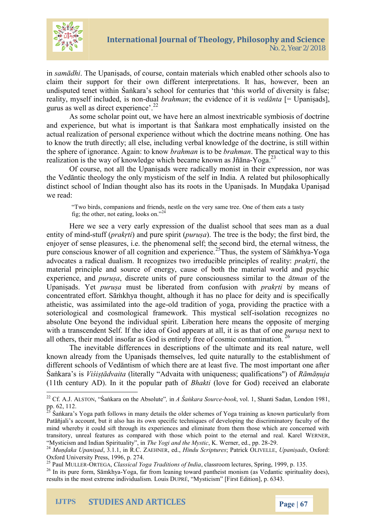

in *samādhi*. The Upaniṣads, of course, contain materials which enabled other schools also to claim their support for their own different interpretations. It has, however, been an undisputed tenet within Śaṅkara's school for centuries that 'this world of diversity is false; reality, myself included, is non-dual *brahman*; the evidence of it is *vedānta* [= Upaniṣads], gurus as well as direct experience'.<sup>22</sup>

As some scholar point out, we have here an almost inextricable symbiosis of doctrine and experience, but what is important is that Śaṅkara most emphatically insisted on the actual realization of personal experience without which the doctrine means nothing. One has to know the truth directly; all else, including verbal knowledge of the doctrine, is still within the sphere of ignorance. Again: to know *brahman* is to be *brahman*. The practical way to this realization is the way of knowledge which became known as Jñāna-Yoga. $^{23}$ 

Of course, not all the Upaniṣads were radically monist in their expression, nor was the Vedāntic theology the only mysticism of the self in India. A related but philosophically distinct school of Indian thought also has its roots in the Upanisads. In Mundaka Upanisad we read:

"Two birds, companions and friends, nestle on the very same tree. One of them eats a tasty fig; the other, not eating, looks on."<sup>24</sup>

Here we see a very early expression of the dualist school that sees man as a dual entity of mind-stuff (*prakṛti*) and pure spirit (*puruṣa*). The tree is the body; the first bird, the enjoyer of sense pleasures, i.e. the phenomenal self; the second bird, the eternal witness, the pure conscious knower of all cognition and experience.<sup>25</sup>Thus, the system of Sāmkhya-Yoga advocates a radical dualism. It recognizes two irreducible principles of reality: *prakṛti*, the material principle and source of energy, cause of both the material world and psychic experience, and *puruṣa*, discrete units of pure consciousness similar to the *ātman* of the Upaniṣads. Yet *puruṣa* must be liberated from confusion with *prakṛti* by means of concentrated effort. Sāṁkhya thought, although it has no place for deity and is specifically atheistic, was assimilated into the age-old tradition of yoga, providing the practice with a soteriological and cosmological framework. This mystical self-isolation recognizes no absolute One beyond the individual spirit. Liberation here means the opposite of merging with a transcendent Self. If the idea of God appears at all, it is as that of one *puruṣa* next to all others, their model insofar as God is entirely free of cosmic contamination.

The inevitable differences in descriptions of the ultimate and its real nature, well known already from the Upaniṣads themselves, led quite naturally to the establishment of different schools of Vedāntism of which there are at least five. The most important one after Śaṅkara's is *Viśiṣṭādvaita* (literally "Advaita with uniqueness; qualifications") of *Rāmāṇuja* (11th century AD). In it the popular path of *Bhakti* (love for God) received an elaborate

<sup>22</sup> Cf. A.J. ALSTON, "Śaṅkara on the Absolute"*,* in *A Śaṅkara Source-book*, vol. 1, Shanti Sadan, London 1981, pp. 62, 112.

<sup>23</sup> Śaṅkara's Yoga path follows in many details the older schemes of Yoga training as known particularly from Patāňjali's account, but it also has its own specific techniques of developing the discriminatory faculty of the mind whereby it could sift through its experiences and eliminate from them those which are concerned with transitory, unreal features as compared with those which point to the eternal and real. Karel WERNER, "Mysticism and Indian Spirituality", in *The Yogi and the Mystic*, K. Werner, ed., pp. 28-29.

<sup>24</sup> *Muṇḍaka Upaniṣad*, 3.1.1, in R.C. ZAEHNER, ed., *Hindu Scriptures*; Patrick OLIVELLE, *Upaniṣads*, Oxford: Oxford University Press, 1996, p. 274.

<sup>25</sup> Paul MULLER-ORTEGA, *Classical Yoga Traditions of India*, classroom lectures, Spring, 1999, p. 135.

<sup>&</sup>lt;sup>26</sup> In its pure form, Sāmkhya-Yoga, far from leaning toward pantheist monism (as Vedantic spirituality does), results in the most extreme individualism. Louis DUPRÉ, "Mysticism" [First Edition], p. 6343.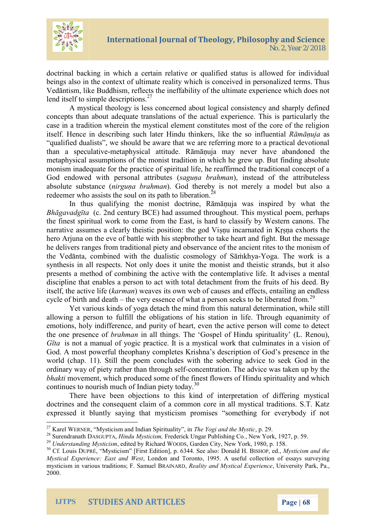

doctrinal backing in which a certain relative or qualified status is allowed for individual beings also in the context of ultimate reality which is conceived in personalized terms. Thus Vedāntism, like Buddhism, reflects the ineffability of the ultimate experience which does not lend itself to simple descriptions.  $27$ 

A mystical theology is less concerned about logical consistency and sharply defined concepts than about adequate translations of the actual experience. This is particularly the case in a tradition wherein the mystical element constitutes most of the core of the religion itself. Hence in describing such later Hindu thinkers, like the so influential *Rāmāṇuja* as "qualified dualists", we should be aware that we are referring more to a practical devotional than a speculative-metaphysical attitude. Rāmāṇuja may never have abandoned the metaphysical assumptions of the monist tradition in which he grew up. But finding absolute monism inadequate for the practice of spiritual life, he reaffirmed the traditional concept of a God endowed with personal attributes (*saguna brahman*), instead of the attributeless absolute substance (*nirguṇa brahman*). God thereby is not merely a model but also a redeemer who assists the soul on its path to liberation.<sup>28</sup>

In thus qualifying the monist doctrine, Rāmāṇuja was inspired by what the *Bhāgavadgīta* (c. 2nd century BCE) had assumed throughout. This mystical poem, perhaps the finest spiritual work to come from the East, is hard to classify by Western canons. The narrative assumes a clearly theistic position: the god Visnu incarnated in Krsna exhorts the hero Arjuna on the eve of battle with his stepbrother to take heart and fight. But the message he delivers ranges from traditional piety and observance of the ancient rites to the monism of the Vedānta, combined with the dualistic cosmology of Sāṁkhya-Yoga. The work is a synthesis in all respects. Not only does it unite the monist and theistic strands, but it also presents a method of combining the active with the contemplative life. It advises a mental discipline that enables a person to act with total detachment from the fruits of his deed. By itself, the active life (*karman*) weaves its own web of causes and effects, entailing an endless cycle of birth and death – the very essence of what a person seeks to be liberated from.<sup>29</sup>

Yet various kinds of yoga detach the mind from this natural determination, while still allowing a person to fulfill the obligations of his station in life. Through equanimity of emotions, holy indifference, and purity of heart, even the active person will come to detect the one presence of *brahman* in all things. The 'Gospel of Hindu spirituality' (L. Renou), *Gīta* is not a manual of yogic practice. It is a mystical work that culminates in a vision of God. A most powerful theophany completes Krishna's description of God's presence in the world (chap. 11). Still the poem concludes with the sobering advice to seek God in the ordinary way of piety rather than through self-concentration. The advice was taken up by the *bhakti* movement, which produced some of the finest flowers of Hindu spirituality and which continues to nourish much of Indian piety today. $30$ 

There have been objections to this kind of interpretation of differing mystical doctrines and the consequent claim of a common core in all mystical traditions. S.T. Katz expressed it bluntly saying that mysticism promises "something for everybody if not

<sup>27</sup> Karel WERNER, "Mysticism and Indian Spirituality", in *The Yogi and the Mystic*, p. 29.

<sup>28</sup> Surendranath DASGUPTA, *Hindu Mysticism,* Frederick Ungar Publishing Co*.*, New York, 1927, p. 59.

<sup>&</sup>lt;sup>29</sup> Understanding Mysticism, edited by Richard WOODS, Garden City, New York, 1980, p. 158.

<sup>30</sup> Cf. Louis DUPRÉ, "Mysticism" [First Edition], p. 6344. See also: Donald H. BISHOP, ed., *Mysticism and the Mystical Experience: East and West*, London and Toronto, 1995. A useful collection of essays surveying mysticism in various traditions; F. Samuel BRAINARD, *Reality and Mystical Experience*, University Park, Pa., 2000.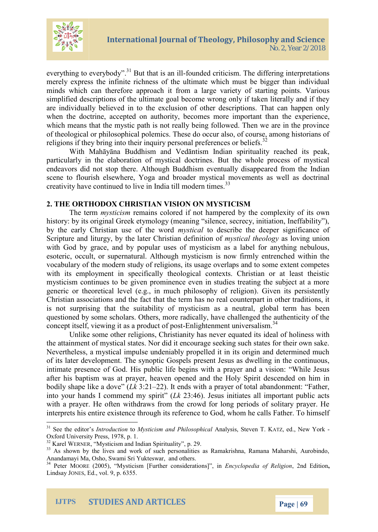

everything to everybody".<sup>31</sup> But that is an ill-founded criticism. The differing interpretations merely express the infinite richness of the ultimate which must be bigger than individual minds which can therefore approach it from a large variety of starting points. Various simplified descriptions of the ultimate goal become wrong only if taken literally and if they are individually believed in to the exclusion of other descriptions. That can happen only when the doctrine, accepted on authority, becomes more important than the experience, which means that the mystic path is not really being followed. Then we are in the province of theological or philosophical polemics. These do occur also, of course, among historians of religions if they bring into their inquiry personal preferences or beliefs.<sup>32</sup>

With Mahāyāna Buddhism and Vedāntism Indian spirituality reached its peak, particularly in the elaboration of mystical doctrines. But the whole process of mystical endeavors did not stop there. Although Buddhism eventually disappeared from the Indian scene to flourish elsewhere, Yoga and broader mystical movements as well as doctrinal creativity have continued to live in India till modern times.<sup>33</sup>

#### **2. THE ORTHODOX CHRISTIAN VISION ON MYSTICISM**

The term *mysticism* remains colored if not hampered by the complexity of its own history: by its original Greek etymology (meaning "silence, secrecy, initiation, Ineffability"), by the early Christian use of the word *mystical* to describe the deeper significance of Scripture and liturgy, by the later Christian definition of *mystical theology* as loving union with God by grace, and by popular uses of mysticism as a label for anything nebulous, esoteric, occult, or supernatural. Although mysticism is now firmly entrenched within the vocabulary of the modern study of religions, its usage overlaps and to some extent competes with its employment in specifically theological contexts. Christian or at least theistic mysticism continues to be given prominence even in studies treating the subject at a more generic or theoretical level (e.g., in much philosophy of religion). Given its persistently Christian associations and the fact that the term has no real counterpart in other traditions, it is not surprising that the suitability of mysticism as a neutral, global term has been questioned by some scholars. Others, more radically, have challenged the authenticity of the concept itself, viewing it as a product of post-Enlightenment universalism.<sup>34</sup>

Unlike some other religions, Christianity has never equated its ideal of holiness with the attainment of mystical states. Nor did it encourage seeking such states for their own sake. Nevertheless, a mystical impulse undeniably propelled it in its origin and determined much of its later development. The synoptic Gospels present Jesus as dwelling in the continuous, intimate presence of God. His public life begins with a prayer and a vision: "While Jesus after his baptism was at prayer, heaven opened and the Holy Spirit descended on him in bodily shape like a dove" (*Lk* 3:21–22). It ends with a prayer of total abandonment: "Father, into your hands I commend my spirit" (*Lk* 23:46). Jesus initiates all important public acts with a prayer. He often withdraws from the crowd for long periods of solitary prayer. He interprets his entire existence through its reference to God, whom he calls Father. To himself

<sup>&</sup>lt;sup>31</sup> See the editor's *Introduction* to *Mysticism and Philosophical* Analysis, Steven T. KATZ, ed., New York -Oxford University Press, 1978, p. 1.

<sup>&</sup>lt;sup>32</sup> Karel WERNER, "Mysticism and Indian Spirituality", p. 29.

<sup>&</sup>lt;sup>33</sup> As shown by the lives and work of such personalities as Ramakrishna, Ramana Maharshi, Aurobindo, Anandamayi Ma, Osho, Swami Sri Yukteswar, and others.

<sup>34</sup> Peter MOORE (2005), "Mysticism [Further considerations]", in *Encyclopedia of Religion*, 2nd Edition**,** Lindsay JONES, Ed., vol. 9, p. 6355.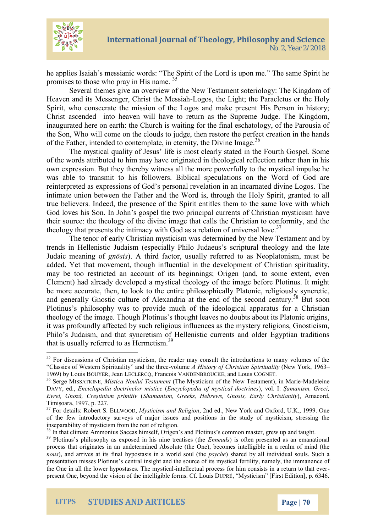

he applies Isaiah's messianic words: "The Spirit of the Lord is upon me." The same Spirit he promises to those who pray in His name. <sup>35</sup>

Several themes give an overview of the New Testament soteriology: The Kingdom of Heaven and its Messenger, Christ the Messiah-Logos, the Light; the Paracletus or the Holy Spirit, who consecrate the mission of the Logos and make present His Person in history; Christ ascended into heaven will have to return as the Supreme Judge. The Kingdom, inaugurated here on earth: the Church is waiting for the final eschatology, of the Parousia of the Son, Who will come on the clouds to judge, then restore the perfect creation in the hands of the Father, intended to contemplate, in eternity, the Divine Image.<sup>36</sup>

The mystical quality of Jesus' life is most clearly stated in the Fourth Gospel. Some of the words attributed to him may have originated in theological reflection rather than in his own expression. But they thereby witness all the more powerfully to the mystical impulse he was able to transmit to his followers. Biblical speculations on the Word of God are reinterpreted as expressions of God's personal revelation in an incarnated divine Logos. The intimate union between the Father and the Word is, through the Holy Spirit, granted to all true believers. Indeed, the presence of the Spirit entitles them to the same love with which God loves his Son. In John's gospel the two principal currents of Christian mysticism have their source: the theology of the divine image that calls the Christian to conformity, and the theology that presents the intimacy with God as a relation of universal love.<sup>37</sup>

The tenor of early Christian mysticism was determined by the New Testament and by trends in Hellenistic Judaism (especially Philo Judaeus's scriptural theology and the late Judaic meaning of *gnōsis*). A third factor, usually referred to as Neoplatonism, must be added. Yet that movement, though influential in the development of Christian spirituality, may be too restricted an account of its beginnings; Origen (and, to some extent, even Clement) had already developed a mystical theology of the image before Plotinus. It might be more accurate, then, to look to the entire philosophically Platonic, religiously syncretic, and generally Gnostic culture of Alexandria at the end of the second century.<sup>38</sup> But soon Plotinus's philosophy was to provide much of the ideological apparatus for a Christian theology of the image. Though Plotinus's thought leaves no doubts about its Platonic origins, it was profoundly affected by such religious influences as the mystery religions, Gnosticism, Philo's Judaism, and that syncretism of Hellenistic currents and older Egyptian traditions that is usually referred to as Hermetism.<sup>39</sup>



<sup>&</sup>lt;sup>35</sup> For discussions of Christian mysticism, the reader may consult the introductions to many volumes of the "Classics of Western Spirituality" and the three-volume *A History of Christian Spirituality* (New York, 1963– 1969) by Louis BOUYER, Jean LECLERCQ, Francois VANDENBROUCKE, and Louis COGNET.

<sup>36</sup> Serge MISSATKINE, *Mistica Noului Testament* (The Mysticism of the New Testament), in Marie-Madeleine DAVY, ed., *Enciclopedia doctrinelor mistice* (*Encyclopedia of mystical doctrines*), vol. I: *Şamanism, Greci, Evrei, Gnoză, Creştinism primitiv* (*Shamanism, Greeks, Hebrews, Gnosis, Early Christianity*), Amacord, Timişoara, 1997, p. 227.

<sup>37</sup> For details: Robert S. ELLWOOD, *Mysticism and Religion*, 2nd ed., New York and Oxford, U.K., 1999. One of the few introductory surveys of major issues and positions in the study of mysticism, stressing the inseparability of mysticism from the rest of religion.

<sup>&</sup>lt;sup>38</sup> In that climate Ammonius Saccas himself, Origen's and Plotinus's common master, grew up and taught.

<sup>&</sup>lt;sup>39</sup> Plotinus's philosophy as exposed in his nine treatises (the *Enneads*) is often presented as an emanational process that originates in an undetermined Absolute (the One), becomes intelligible in a realm of mind (the *nous*), and arrives at its final hypostasis in a world soul (the *psyche*) shared by all individual souls. Such a presentation misses Plotinus's central insight and the source of its mystical fertility, namely, the immanence of the One in all the lower hypostases. The mystical-intellectual process for him consists in a return to that everpresent One, beyond the vision of the intelligible forms. Cf. Louis DUPRÉ, "Mysticism" [First Edition], p. 6346.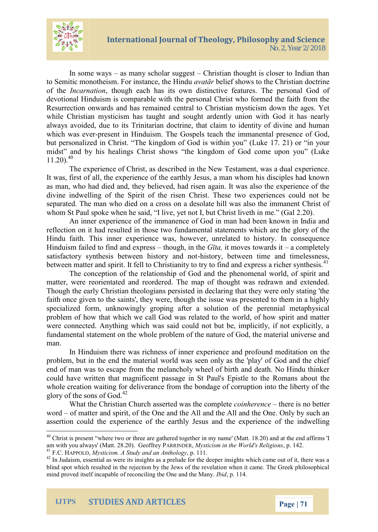

In some ways – as many scholar suggest – Christian thought is closer to Indian than to Semitic monotheism. For instance, the Hindu *avatār* belief shows to the Christian doctrine of the *Incarnation*, though each has its own distinctive features. The personal God of devotional Hinduism is comparable with the personal Christ who formed the faith from the Resurrection onwards and has remained central to Christian mysticism down the ages. Yet while Christian mysticism has taught and sought ardently union with God it has nearly always avoided, due to its Trinitarian doctrine, that claim to identity of divine and human which was ever-present in Hinduism. The Gospels teach the immanental presence of God, but personalized in Christ. "The kingdom of God is within you" (Luke 17. 21) or "in your midst" and by his healings Christ shows "the kingdom of God come upon you" (Luke  $11.20$ ).<sup>40</sup>

The experience of Christ, as described in the New Testament, was a dual experience. It was, first of all, the experience of the earthly Jesus, a man whom his disciples had known as man, who had died and, they believed, had risen again. It was also the experience of the divine indwelling of the Spirit of the risen Christ. These two experiences could not be separated. The man who died on a cross on a desolate hill was also the immanent Christ of whom St Paul spoke when he said, "I live, yet not I, but Christ liveth in me." (Gal 2.20).

An inner experience of the immanence of God in man had been known in India and reflection on it had resulted in those two fundamental statements which are the glory of the Hindu faith. This inner experience was, however, unrelated to history. In consequence Hinduism failed to find and express – though, in the *Gīta,* it moves towards it – a completely satisfactory synthesis between history and not-history, between time and timelessness, between matter and spirit. It fell to Christianity to try to find and express a richer synthesis.<sup>41</sup>

The conception of the relationship of God and the phenomenal world, of spirit and matter, were reorientated and reordered. The map of thought was redrawn and extended. Though the early Christian theologians persisted in declaring that they were only stating 'the faith once given to the saints', they were, though the issue was presented to them in a highly specialized form, unknowingly groping after a solution of the perennial metaphysical problem of how that which we call God was related to the world, of how spirit and matter were connected. Anything which was said could not but be, implicitly, if not explicitly, a fundamental statement on the whole problem of the nature of God, the material universe and man.

In Hinduism there was richness of inner experience and profound meditation on the problem, but in the end the material world was seen only as the 'play' of God and the chief end of man was to escape from the melancholy wheel of birth and death. No Hindu thinker could have written that magnificent passage in St Paul's Epistle to the Romans about the whole creation waiting for deliverance from the bondage of corruption into the liberty of the glory of the sons of God. $^{42}$ 

What the Christian Church asserted was the complete *coinherence* – there is no better word – of matter and spirit, of the One and the All and the All and the One. Only by such an assertion could the experience of the earthly Jesus and the experience of the indwelling

 $40$  Christ is present "where two or three are gathered together in my name' (Matt. 18.20) and at the end affirms  $T$ am with you always' (Matt. 28.20). Geoffrey PARRINDER, *Mysticism in the World's Religions*, p. 142.

<sup>41</sup> F.C. HAPPOLD, *Mysticism. A Study and an Anthology*, p. 111.

 $42$  In Judaism, essential as were its insights as a prelude for the deeper insights which came out of it, there was a blind spot which resulted in the rejection by the Jews of the revelation when it came. The Greek philosophical mind proved itself incapable of reconciling the One and the Many. *Ibid*, p. 114.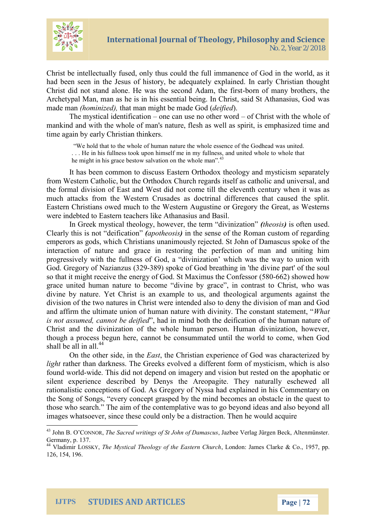

Christ be intellectually fused, only thus could the full immanence of God in the world, as it had been seen in the Jesus of history, be adequately explained. In early Christian thought Christ did not stand alone. He was the second Adam, the first-born of many brothers, the Archetypal Man, man as he is in his essential being. In Christ, said St Athanasius, God was made man *(hominized),* that man might be made God (*deified*).

The mystical identification – one can use no other word – of Christ with the whole of mankind and with the whole of man's nature, flesh as well as spirit, is emphasized time and time again by early Christian thinkers.

"We hold that to the whole of human nature the whole essence of the Godhead was united. . . . He in his fullness took upon himself me in my fullness, and united whole to whole that he might in his grace bestow salvation on the whole man".

It has been common to discuss Eastern Orthodox theology and mysticism separately from Western Catholic, but the Orthodox Church regards itself as catholic and universal, and the formal division of East and West did not come till the eleventh century when it was as much attacks from the Western Crusades as doctrinal differences that caused the split. Eastern Christians owed much to the Western Augustine or Gregory the Great, as Westerns were indebted to Eastern teachers like Athanasius and Basil.

In Greek mystical theology, however, the term "divinization" *(theosis)* is often used. Clearly this is not "deification" *(apotheosis)* in the sense of the Roman custom of regarding emperors as gods, which Christians unanimously rejected. St John of Damascus spoke of the interaction of nature and grace in restoring the perfection of man and uniting him progressively with the fullness of God, a "divinization' which was the way to union with God. Gregory of Nazianzus (329-389) spoke of God breathing in 'the divine part' of the soul so that it might receive the energy of God. St Maximus the Confessor (580-662) showed how grace united human nature to become "divine by grace", in contrast to Christ, who was divine by nature. Yet Christ is an example to us, and theological arguments against the division of the two natures in Christ were intended also to deny the division of man and God and affirm the ultimate union of human nature with divinity. The constant statement, "*What is not assumed, cannot be deified*", had in mind both the deification of the human nature of Christ and the divinization of the whole human person. Human divinization, however, though a process begun here, cannot be consummated until the world to come, when God shall be all in all. $^{44}$ 

On the other side, in the *East*, the Christian experience of God was characterized by *light* rather than darkness. The Greeks evolved a different form of mysticism, which is also found world-wide. This did not depend on imagery and vision but rested on the apophatic or silent experience described by Denys the Areopagite. They naturally eschewed all rationalistic conceptions of God. As Gregory of Nyssa had explained in his Commentary on the Song of Songs, "every concept grasped by the mind becomes an obstacle in the quest to those who search." The aim of the contemplative was to go beyond ideas and also beyond all images whatsoever, since these could only be a distraction. Then he would acquire

<sup>43</sup> John B. O'CONNOR, *The Sacred writings of St John of Damascus*, Jazbee Verlag Jürgen Beck, Altenmünster. Germany, p. 137.

<sup>44</sup> Vladimir LOSSKY, *The Mystical Theology of the Eastern Church*, London: James Clarke & Co., 1957, pp. 126, 154, 196.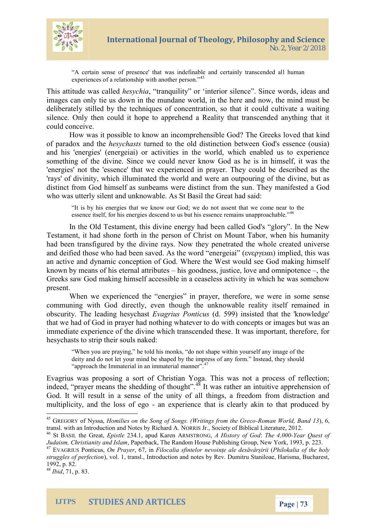

"A certain sense of presence' that was indefinable and certainly transcended all human experiences of a relationship with another person."<sup>45</sup>

This attitude was called *hesychia*, "tranquility" or 'interior silence". Since words, ideas and images can only tie us down in the mundane world, in the here and now, the mind must be deliberately stilled by the techniques of concentration, so that it could cultivate a waiting silence. Only then could it hope to apprehend a Reality that transcended anything that it could conceive.

How was it possible to know an incomprehensible God? The Greeks loved that kind of paradox and the *hesychasts* turned to the old distinction between God's essence (ousia) and his 'energies' (energeiai) or activities in the world, which enabled us to experience something of the divine. Since we could never know God as he is in himself, it was the 'energies' not the 'essence' that we experienced in prayer. They could be described as the 'rays' of divinity, which illuminated the world and were an outpouring of the divine, but as distinct from God himself as sunbeams were distinct from the sun. They manifested a God who was utterly silent and unknowable. As St Basil the Great had said:

"It is by his energies that we know our God; we do not assent that we come near to the essence itself, for his energies descend to us but his essence remains unapproachable."<sup>46</sup>

In the Old Testament, this divine energy had been called God's "glory". In the New Testament, it had shone forth in the person of Christ on Mount Tabor, when his humanity had been transfigured by the divine rays. Now they penetrated the whole created universe and deified those who had been saved. As the word "energeiai" (ενεργειαι) implied, this was an active and dynamic conception of God. Where the West would see God making himself known by means of his eternal attributes – his goodness, justice, love and omnipotence –, the Greeks saw God making himself accessible in a ceaseless activity in which he was somehow present.

When we experienced the "energies" in prayer, therefore, we were in some sense communing with God directly, even though the unknowable reality itself remained in obscurity. The leading hesychast *Evagrius Ponticus* (d. 599) insisted that the 'knowledge' that we had of God in prayer had nothing whatever to do with concepts or images but was an immediate experience of the divine which transcended these. It was important, therefore, for hesychasts to strip their souls naked:

"When you are praying," he told his monks, "do not shape within yourself any image of the deity and do not let your mind be shaped by the impress of any form." Instead, they should "approach the Immaterial in an immaterial manner".<sup>47</sup>

Evagrius was proposing a sort of Christian Yoga. This was not a process of reflection; indeed, "prayer means the shedding of thought".<sup>48</sup> It was rather an intuitive apprehension of God. It will result in a sense of the unity of all things, a freedom from distraction and multiplicity, and the loss of ego - an experience that is clearly akin to that produced by

<sup>45</sup> GREGORY of Nyssa, *Homilies on the Song of Songs. (Writings from the Greco-Roman World, Band 13*), 6, transl. with an Introduction and Notes by Richard A. NORRIS Jr., Society of Biblical Literature, 2012.

<sup>46</sup> St BASIL the Great, *Epistle* 234.1, apud Karen ARMSTRONG, *A History of God*: *The 4,000-Year Quest of Judaism, Christianity and Islam*, Paperback, The Random House Publishing Group, New York, 1993, p. 223.

<sup>47</sup> EVAGRIUS Ponticus, *On Prayer*, 67, in *Filocalia sfintelor nevoințe ale desăvârșirii* (*Philokalia of the holy struggles of perfection*), vol. 1, transl., Introduction and notes by Rev. Dumitru Staniloae, Harisma, Bucharest, 1992, p. 82.

<sup>48</sup> *Ibid*, 71, p. 83.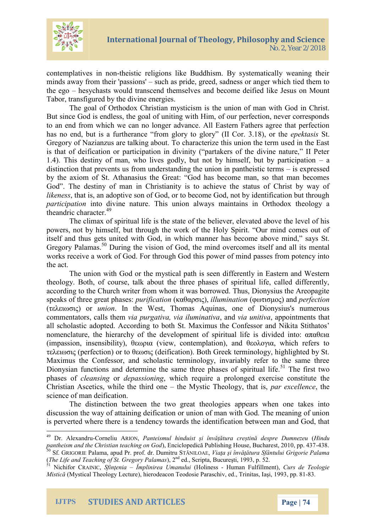

contemplatives in non-theistic religions like Buddhism. By systematically weaning their minds away from their 'passions' – such as pride, greed, sadness or anger which tied them to the ego – hesychasts would transcend themselves and become deified like Jesus on Mount Tabor, transfigured by the divine energies.

The goal of Orthodox Christian mysticism is the union of man with God in Christ. But since God is endless, the goal of uniting with Him, of our perfection, never corresponds to an end from which we can no longer advance. All Eastern Fathers agree that perfection has no end, but is a furtherance "from glory to glory" (II Cor. 3.18), or the *epektasis* St. Gregory of Nazianzus are talking about. To characterize this union the term used in the East is that of deification or participation in divinity ("partakers of the divine nature," II Peter 1.4). This destiny of man, who lives godly, but not by himself, but by participation  $-$  a distinction that prevents us from understanding the union in pantheistic terms – is expressed by the axiom of St. Athanasius the Great: "God has become man, so that man becomes God". The destiny of man in Christianity is to achieve the status of Christ by way of *likeness*, that is, an adoptive son of God, or to become God, not by identification but through *participation* into divine nature. This union always maintains in Orthodox theology a theandric character.<sup>49</sup>

The climax of spiritual life is the state of the believer, elevated above the level of his powers, not by himself, but through the work of the Holy Spirit. "Our mind comes out of itself and thus gets united with God, in which manner has become above mind," says St. Gregory Palamas.<sup>50</sup> During the vision of God, the mind overcomes itself and all its mental works receive a work of God. For through God this power of mind passes from potency into the act.

The union with God or the mystical path is seen differently in Eastern and Western theology. Both, of course, talk about the three phases of spiritual life, called differently, according to the Church writer from whom it was borrowed. Thus, Dionysius the Areopagite speaks of three great phases: *purification* (καθαρσις), *illumination* (φωτισμος) and *perfection* (τελειωσις) or *union*. In the West, Thomas Aquinas, one of Dionysius's numerous commentators, calls them *via purgativa, via iluminativa*, and *via unitiva*, appointments that all scholastic adopted. According to both St. Maximus the Confessor and Nikita Stithatos' nomenclature, the hierarchy of the development of spiritual life is divided into: απαθεια (impassion, insensibility), θεωρια (view, contemplation), and θεολογια, which refers to τελειωσις (perfection) or to θεωσις (deification). Both Greek terminology, highlighted by St. Maximus the Confessor, and scholastic terminology, invariably refer to the same three Dionysian functions and determine the same three phases of spiritual life.<sup>51</sup> The first two phases of *cleansing* or *depassioning*, which require a prolonged exercise constitute the Christian Ascetics, while the third one – the Mystic Theology, that is, *par excellence*, the science of man deification.

The distinction between the two great theologies appears when one takes into discussion the way of attaining deification or union of man with God. The meaning of union is perverted where there is a tendency towards the identification between man and God, that

<sup>49</sup> Dr. Alexandru-Corneliu ARION, *Panteismul hinduist și învățătura creștină despre Dumnezeu* (*Hindu pantheism and the Christian teaching on God*), Enciclopedică Publishing House, Bucharest, 2010, pp. 437-438. <sup>50</sup> Sf. GRIGORIE Palama, apud Pr. prof. dr. Dumitru STĂNILOAE, *Viaţa şi învăţătura Sfântului Grigorie Palama* (*The Life and Teaching of St. Gregory Palamas*), 2nd ed., Scripta, Bucureşti, 1993, p. 52.

<sup>51</sup> Nichifor CRAINIC, *Sfinţenia – Împlinirea Umanului* (Holiness - Human Fulfillment), *Curs de Teologie Mistică* (Mystical Theology Lecture), hierodeacon Teodosie Paraschiv, ed., Trinitas, Iaşi, 1993, pp. 81-83.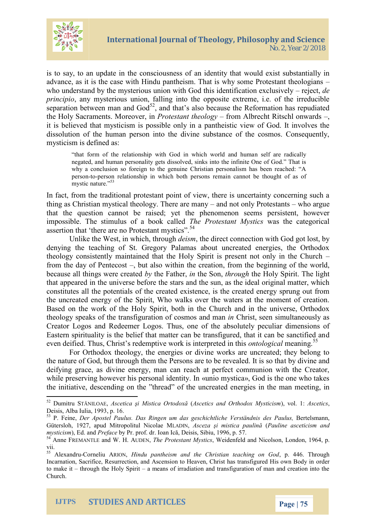

is to say, to an update in the consciousness of an identity that would exist substantially in advance, as it is the case with Hindu pantheism. That is why some Protestant theologians – who understand by the mysterious union with God this identification exclusively – reject, *de principio*, any mysterious union, falling into the opposite extreme, i.e. of the irreducible separation between man and  $God^{52}$ , and that's also because the Reformation has repudiated the Holy Sacraments. Moreover, in *Protestant theology* – from Albrecht Ritschl onwards –, it is believed that mysticism is possible only in a pantheistic view of God. It involves the dissolution of the human person into the divine substance of the cosmos. Consequently, mysticism is defined as:

"that form of the relationship with God in which world and human self are radically negated, and human personality gets dissolved, sinks into the infinite One of God." That is why a conclusion so foreign to the genuine Christian personalism has been reached: "A person-to-person relationship in which both persons remain cannot be thought of as of mystic nature."<sup>53</sup>

In fact, from the traditional protestant point of view, there is uncertainty concerning such a thing as Christian mystical theology. There are many – and not only Protestants – who argue that the question cannot be raised; yet the phenomenon seems persistent, however impossible. The stimulus of a book called *The Protestant Mystics* was the categorical assertion that 'there are no Protestant mystics".<sup>54</sup>

Unlike the West, in which, through *deism*, the direct connection with God got lost, by denying the teaching of St. Gregory Palamas about uncreated energies, the Orthodox theology consistently maintained that the Holy Spirit is present not only in the Church – from the day of Pentecost –, but also within the creation, from the beginning of the world, because all things were created *by* the Father, *in* the Son, *through* the Holy Spirit. The light that appeared in the universe before the stars and the sun, as the ideal original matter, which constitutes all the potentials of the created existence, is the created energy sprung out from the uncreated energy of the Spirit, Who walks over the waters at the moment of creation. Based on the work of the Holy Spirit, both in the Church and in the universe, Orthodox theology speaks of the transfiguration of cosmos and man *in* Christ, seen simultaneously as Creator Logos and Redeemer Logos. Thus, one of the absolutely peculiar dimensions of Eastern spirituality is the belief that matter can be transfigured, that it can be sanctified and even deified. Thus, Christ's redemptive work is interpreted in this *ontological* meaning.<sup>55</sup>

For Orthodox theology, the energies or divine works are uncreated; they belong to the nature of God, but through them the Persons are to be revealed. It is so that by divine and deifying grace, as divine energy, man can reach at perfect communion with the Creator, while preserving however his personal identity. In «unio mystica», God is the one who takes the initiative, descending on the "thread" of the uncreated energies in the man meeting, in

<sup>52</sup> Dumitru STĂNILOAE, *Ascetica şi Mistica Ortodoxă* (*Ascetics and Orthodox Mysticism*), vol. 1: *Ascetics*, Deisis, Alba Iulia, 1993, p. 16.

<sup>53</sup> P. Feine, *Der Apostel Paulus. Das Ringen um das geschichtliche Verständnis des Paulus,* Bertelsmann, Gütersloh, 1927, apud Mitropolitul Nicolae MLADIN, *Asceza şi mistica paulină* (*Pauline asceticism and mysticism*), Ed. and *Preface* by Pr. prof. dr. Ioan Ică, Deisis, Sibiu, 1996, p. 57.

<sup>54</sup> Anne FREMANTLE and W. H. AUDEN, *The Protestant Mystics*, Weidenfeld and Nicolson, London, 1964, p. vii.

<sup>55</sup> Alexandru-Corneliu ARION, *Hindu pantheism and the Christian teaching on God*, p. 446. Through Incarnation, Sacrifice, Resurrection, and Ascension to Heaven, Christ has transfigured His own Body in order to make it – through the Holy Spirit – a means of irradiation and transfiguration of man and creation into the Church.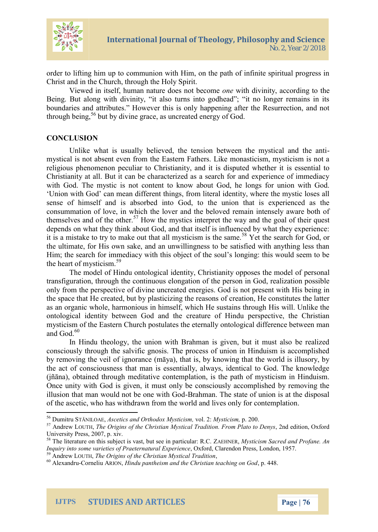

order to lifting him up to communion with Him, on the path of infinite spiritual progress in Christ and in the Church, through the Holy Spirit.

Viewed in itself, human nature does not become *one* with divinity, according to the Being. But along with divinity, "it also turns into godhead"; "it no longer remains in its boundaries and attributes." However this is only happening after the Resurrection, and not through being,<sup>56</sup> but by divine grace, as uncreated energy of God.

#### **CONCLUSION**

Unlike what is usually believed, the tension between the mystical and the antimystical is not absent even from the Eastern Fathers. Like monasticism, mysticism is not a religious phenomenon peculiar to Christianity, and it is disputed whether it is essential to Christianity at all. But it can be characterized as a search for and experience of immediacy with God. The mystic is not content to know about God, he longs for union with God. 'Union with God' can mean different things, from literal identity, where the mystic loses all sense of himself and is absorbed into God, to the union that is experienced as the consummation of love, in which the lover and the beloved remain intensely aware both of themselves and of the other.<sup>57</sup> How the mystics interpret the way and the goal of their quest depends on what they think about God, and that itself is influenced by what they experience: it is a mistake to try to make out that all mysticism is the same.<sup>58</sup> Yet the search for God, or the ultimate, for His own sake, and an unwillingness to be satisfied with anything less than Him; the search for immediacy with this object of the soul's longing: this would seem to be the heart of mysticism.<sup>59</sup>

The model of Hindu ontological identity, Christianity opposes the model of personal transfiguration, through the continuous elongation of the person in God, realization possible only from the perspective of divine uncreated energies. God is not present with His being in the space that He created, but by plasticizing the reasons of creation, He constitutes the latter as an organic whole, harmonious in himself, which He sustains through His will. Unlike the ontological identity between God and the creature of Hindu perspective, the Christian mysticism of the Eastern Church postulates the eternally ontological difference between man and God $^{60}$ 

In Hindu theology, the union with Brahman is given, but it must also be realized consciously through the salvific gnosis. The process of union in Hinduism is accomplished by removing the veil of ignorance (māya), that is, by knowing that the world is illusory, by the act of consciousness that man is essentially, always, identical to God. The knowledge (jñāna), obtained through meditative contemplation, is the path of mysticism in Hinduism. Once unity with God is given, it must only be consciously accomplished by removing the illusion that man would not be one with God-Brahman. The state of union is at the disposal of the ascetic, who has withdrawn from the world and lives only for contemplation.

<sup>56</sup> Dumitru STĂNILOAE, *Ascetics and Orthodox Mysticism,* vol. 2: *Mysticism,* p. 200.

<sup>57</sup> Andrew LOUTH, *The Origins of the Christian Mystical Tradition. From Plato to Denys*, 2nd edition, Oxford University Press, 2007, p. xiv.

<sup>58</sup> The literature on this subject is vast, but see in particular: R.C. ZAEHNER, *Mysticism Sacred and Profane. An Inquiry into some varieties of Praeternatural Experience*, Oxford, Clarendon Press, London, 1957. <sup>59</sup> Andrew LOUTH, *The Origins of the Christian Mystical Tradition*,

<sup>60</sup> Alexandru-Corneliu ARION, *Hindu pantheism and the Christian teaching on God*, p. 448.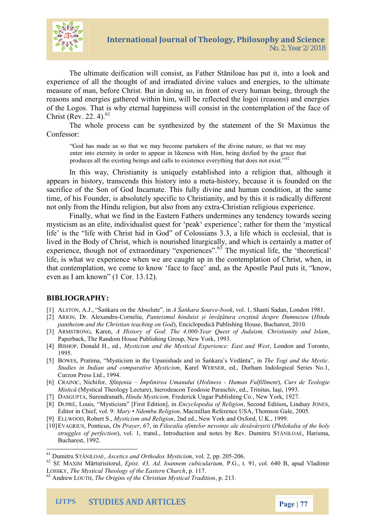

The ultimate deification will consist, as Father Stăniloae has put it, into a look and experience of all the thought of and irradiated divine values and energies, to the ultimate measure of man, before Christ. But in doing so, in front of every human being, through the reasons and energies gathered within him, will be reflected the logoi (reasons) and energies of the Logos. That is why eternal happiness will consist in the contemplation of the face of Christ (Rev. 22. 4). $61$ 

The whole process can be synthesized by the statement of the St Maximus the Confessor:

"God has made us so that we may become partakers of the divine nature, so that we may enter into eternity in order to appear in likeness with Him, being deified by the grace that produces all the existing beings and calls to existence everything that does not exist."<sup>62</sup>

In this way, Christianity is uniquely established into a religion that, although it appears in history, transcends this history into a meta-history, because it is founded on the sacrifice of the Son of God Incarnate. This fully divine and human condition, at the same time, of his Founder, is absolutely specific to Christianity, and by this it is radically different not only from the Hindu religion, but also from any extra-Christian religious experience.

Finally, what we find in the Eastern Fathers undermines any tendency towards seeing mysticism as an elite, individualist quest for 'peak' experience'; rather for them the 'mystical life' is the "life with Christ hid in God" of Colossians 3.3, a life which is ecclesial, that is lived in the Body of Christ, which is nourished liturgically, and which is certainly a matter of experience, though not of extraordinary "experiences".<sup>63</sup> The mystical life, the 'theoretical' life, is what we experience when we are caught up in the contemplation of Christ, when, in that contemplation, we come to know 'face to face' and, as the Apostle Paul puts it, "know, even as I am known" (1 Cor. 13.12).

#### **BIBLIOGRAPHY:**

- [1] ALSTON, A.J., "Śaṅkara on the Absolute"*,* in *A Śaṅkara Source-book*, vol. 1, Shanti Sadan, London 1981.
- [2] ARION, Dr. Alexandru-Corneliu, *Panteismul hinduist și învățătura creștină despre Dumnezeu* (*Hindu pantheism and the Christian teaching on God*), Enciclopedică Publishing House, Bucharest, 2010.
- [3] ARMSTRONG, Karen, *A History of God*: *The 4,000-Year Quest of Judaism, Christianity and Islam*, Paperback, The Random House Publishing Group, New York, 1993.
- [4] BISHOP, Donald H., ed., *Mysticism and the Mystical Experience: East and West*, London and Toronto, 1995.
- [5] BOWES, Pratima, "Mysticism in the Upanishads and in Śaṅkara's Vedānta", in *The Yogi and the Mystic. Studies in Indian and comparative Mysticism*, Karel WERNER, ed., Durham Indological Series No.1, Curzon Press Ltd., 1994.
- [6] CRAINIC, Nichifor, *Sfinţenia – Împlinirea Umanului* (*Holiness - Human Fulfillment*), *Curs de Teologie Mistică* (Mystical Theology Lecture), hierodeacon Teodosie Paraschiv, ed., Trinitas, Iaşi, 1993.
- [7] DASGUPTA, Surendranath, *Hindu Mysticism,* Frederick Ungar Publishing Co*.*, New York, 1927.
- [8] DUPRÉ, Louis, "Mysticism" [First Edition], in *Encyclopedia of Religion*, Second Edition**,** Lindsay JONES, Editor in Chief, vol. 9: *Mary • Ndembu Religion*, Macmillan Reference USA, Thomson Gale, 2005.
- [9] ELLWOOD, Robert S., *Mysticism and Religion*, 2nd ed., New York and Oxford, U.K., 1999.
- [10]EVAGRIUS, Ponticus, *On Prayer*, 67, in *Filocalia sfintelor nevoințe ale desăvârșirii* (*Philokalia of the holy struggles of perfection*), vol. 1, transl., Introduction and notes by Rev. Dumitru STĂNILOAE, Harisma, Bucharest, 1992.

<sup>61</sup> Dumitru STĂNILOAE, *Ascetics and Orthodox Mysticism*, vol. 2, pp. 205-206.

<sup>62</sup> Sf. MAXIM Mărturisitorul, *Epist. 43, Ad. Ioannem cubicularium,* P.G., t. 91, col. 640 B, apud Vladimir LOSSKY, *The Mystical Theology of the Eastern Church*, p. 117.

<sup>63</sup> Andrew LOUTH, *The Origins of the Christian Mystical Tradition*, p. 213.